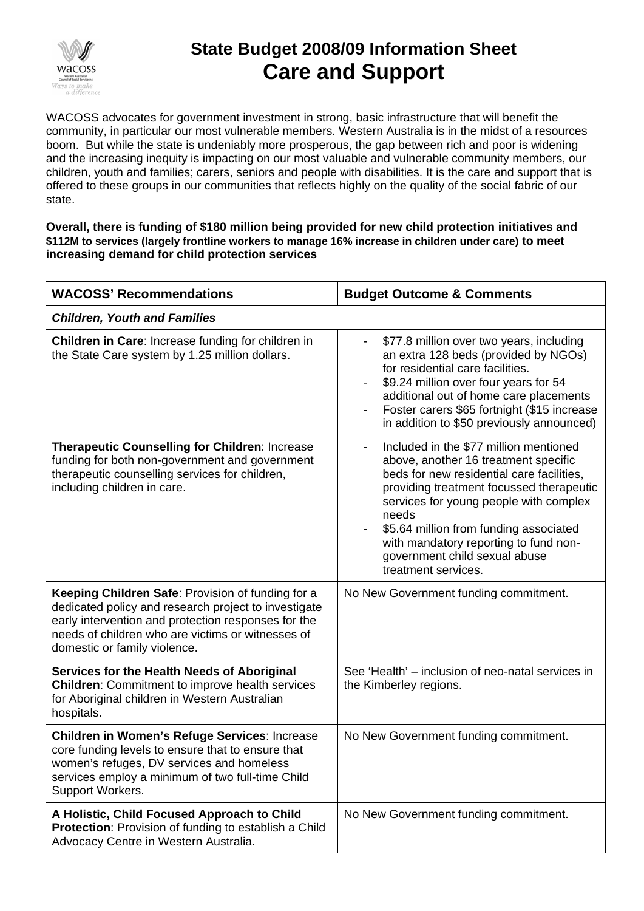

## **State Budget 2008/09 Information Sheet Care and Support**

WACOSS advocates for government investment in strong, basic infrastructure that will benefit the community, in particular our most vulnerable members. Western Australia is in the midst of a resources boom. But while the state is undeniably more prosperous, the gap between rich and poor is widening and the increasing inequity is impacting on our most valuable and vulnerable community members, our children, youth and families; carers, seniors and people with disabilities. It is the care and support that is offered to these groups in our communities that reflects highly on the quality of the social fabric of our state.

**Overall, there is funding of \$180 million being provided for new child protection initiatives and \$112M to services (largely frontline workers to manage 16% increase in children under care) to meet increasing demand for child protection services** 

| <b>WACOSS' Recommendations</b>                                                                                                                                                                                                                        | <b>Budget Outcome &amp; Comments</b>                                                                                                                                                                                                                                                                                                                                                              |  |
|-------------------------------------------------------------------------------------------------------------------------------------------------------------------------------------------------------------------------------------------------------|---------------------------------------------------------------------------------------------------------------------------------------------------------------------------------------------------------------------------------------------------------------------------------------------------------------------------------------------------------------------------------------------------|--|
| <b>Children, Youth and Families</b>                                                                                                                                                                                                                   |                                                                                                                                                                                                                                                                                                                                                                                                   |  |
| Children in Care: Increase funding for children in<br>the State Care system by 1.25 million dollars.                                                                                                                                                  | \$77.8 million over two years, including<br>-<br>an extra 128 beds (provided by NGOs)<br>for residential care facilities.<br>\$9.24 million over four years for 54<br>additional out of home care placements<br>Foster carers \$65 fortnight (\$15 increase<br>in addition to \$50 previously announced)                                                                                          |  |
| <b>Therapeutic Counselling for Children: Increase</b><br>funding for both non-government and government<br>therapeutic counselling services for children,<br>including children in care.                                                              | Included in the \$77 million mentioned<br>$\overline{\phantom{0}}$<br>above, another 16 treatment specific<br>beds for new residential care facilities,<br>providing treatment focussed therapeutic<br>services for young people with complex<br>needs<br>\$5.64 million from funding associated<br>with mandatory reporting to fund non-<br>government child sexual abuse<br>treatment services. |  |
| Keeping Children Safe: Provision of funding for a<br>dedicated policy and research project to investigate<br>early intervention and protection responses for the<br>needs of children who are victims or witnesses of<br>domestic or family violence. | No New Government funding commitment.                                                                                                                                                                                                                                                                                                                                                             |  |
| Services for the Health Needs of Aboriginal<br><b>Children: Commitment to improve health services</b><br>for Aboriginal children in Western Australian<br>hospitals.                                                                                  | See 'Health' - inclusion of neo-natal services in<br>the Kimberley regions.                                                                                                                                                                                                                                                                                                                       |  |
| Children in Women's Refuge Services: Increase<br>core funding levels to ensure that to ensure that<br>women's refuges, DV services and homeless<br>services employ a minimum of two full-time Child<br>Support Workers.                               | No New Government funding commitment.                                                                                                                                                                                                                                                                                                                                                             |  |
| A Holistic, Child Focused Approach to Child<br>Protection: Provision of funding to establish a Child<br>Advocacy Centre in Western Australia.                                                                                                         | No New Government funding commitment.                                                                                                                                                                                                                                                                                                                                                             |  |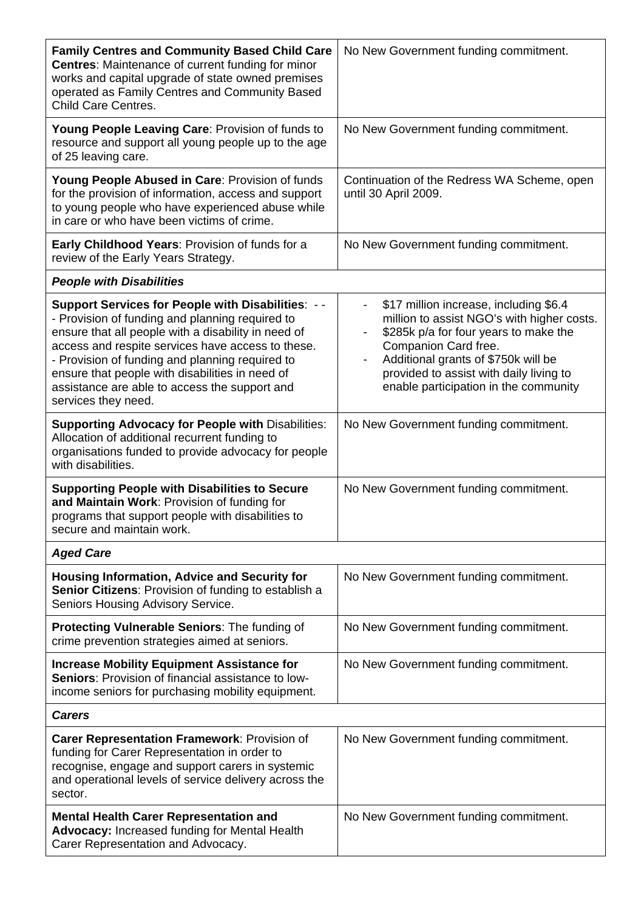| <b>Family Centres and Community Based Child Care</b><br><b>Centres: Maintenance of current funding for minor</b><br>works and capital upgrade of state owned premises<br>operated as Family Centres and Community Based<br><b>Child Care Centres.</b>                                                                                                                                                 | No New Government funding commitment.                                                                                                                                                                                                                                                                                                    |  |
|-------------------------------------------------------------------------------------------------------------------------------------------------------------------------------------------------------------------------------------------------------------------------------------------------------------------------------------------------------------------------------------------------------|------------------------------------------------------------------------------------------------------------------------------------------------------------------------------------------------------------------------------------------------------------------------------------------------------------------------------------------|--|
| Young People Leaving Care: Provision of funds to<br>resource and support all young people up to the age<br>of 25 leaving care.                                                                                                                                                                                                                                                                        | No New Government funding commitment.                                                                                                                                                                                                                                                                                                    |  |
| Young People Abused in Care: Provision of funds<br>for the provision of information, access and support<br>to young people who have experienced abuse while<br>in care or who have been victims of crime.                                                                                                                                                                                             | Continuation of the Redress WA Scheme, open<br>until 30 April 2009.                                                                                                                                                                                                                                                                      |  |
| Early Childhood Years: Provision of funds for a<br>review of the Early Years Strategy.                                                                                                                                                                                                                                                                                                                | No New Government funding commitment.                                                                                                                                                                                                                                                                                                    |  |
| <b>People with Disabilities</b>                                                                                                                                                                                                                                                                                                                                                                       |                                                                                                                                                                                                                                                                                                                                          |  |
| <b>Support Services for People with Disabilities: --</b><br>- Provision of funding and planning required to<br>ensure that all people with a disability in need of<br>access and respite services have access to these.<br>- Provision of funding and planning required to<br>ensure that people with disabilities in need of<br>assistance are able to access the support and<br>services they need. | \$17 million increase, including \$6.4<br>$\overline{\phantom{a}}$<br>million to assist NGO's with higher costs.<br>\$285k p/a for four years to make the<br>Companion Card free.<br>Additional grants of \$750k will be<br>$\overline{\phantom{a}}$<br>provided to assist with daily living to<br>enable participation in the community |  |
| <b>Supporting Advocacy for People with Disabilities:</b><br>Allocation of additional recurrent funding to<br>organisations funded to provide advocacy for people<br>with disabilities.                                                                                                                                                                                                                | No New Government funding commitment.                                                                                                                                                                                                                                                                                                    |  |
| <b>Supporting People with Disabilities to Secure</b><br>and Maintain Work: Provision of funding for<br>programs that support people with disabilities to<br>secure and maintain work.                                                                                                                                                                                                                 | No New Government funding commitment.                                                                                                                                                                                                                                                                                                    |  |
| <b>Aged Care</b>                                                                                                                                                                                                                                                                                                                                                                                      |                                                                                                                                                                                                                                                                                                                                          |  |
| <b>Housing Information, Advice and Security for</b><br>Senior Citizens: Provision of funding to establish a<br>Seniors Housing Advisory Service.                                                                                                                                                                                                                                                      | No New Government funding commitment.                                                                                                                                                                                                                                                                                                    |  |
| <b>Protecting Vulnerable Seniors: The funding of</b><br>crime prevention strategies aimed at seniors.                                                                                                                                                                                                                                                                                                 | No New Government funding commitment.                                                                                                                                                                                                                                                                                                    |  |
| <b>Increase Mobility Equipment Assistance for</b><br>Seniors: Provision of financial assistance to low-<br>income seniors for purchasing mobility equipment.                                                                                                                                                                                                                                          | No New Government funding commitment.                                                                                                                                                                                                                                                                                                    |  |
| <b>Carers</b>                                                                                                                                                                                                                                                                                                                                                                                         |                                                                                                                                                                                                                                                                                                                                          |  |
| Carer Representation Framework: Provision of<br>funding for Carer Representation in order to<br>recognise, engage and support carers in systemic<br>and operational levels of service delivery across the<br>sector.                                                                                                                                                                                  | No New Government funding commitment.                                                                                                                                                                                                                                                                                                    |  |
| <b>Mental Health Carer Representation and</b><br>Advocacy: Increased funding for Mental Health<br>Carer Representation and Advocacy.                                                                                                                                                                                                                                                                  | No New Government funding commitment.                                                                                                                                                                                                                                                                                                    |  |